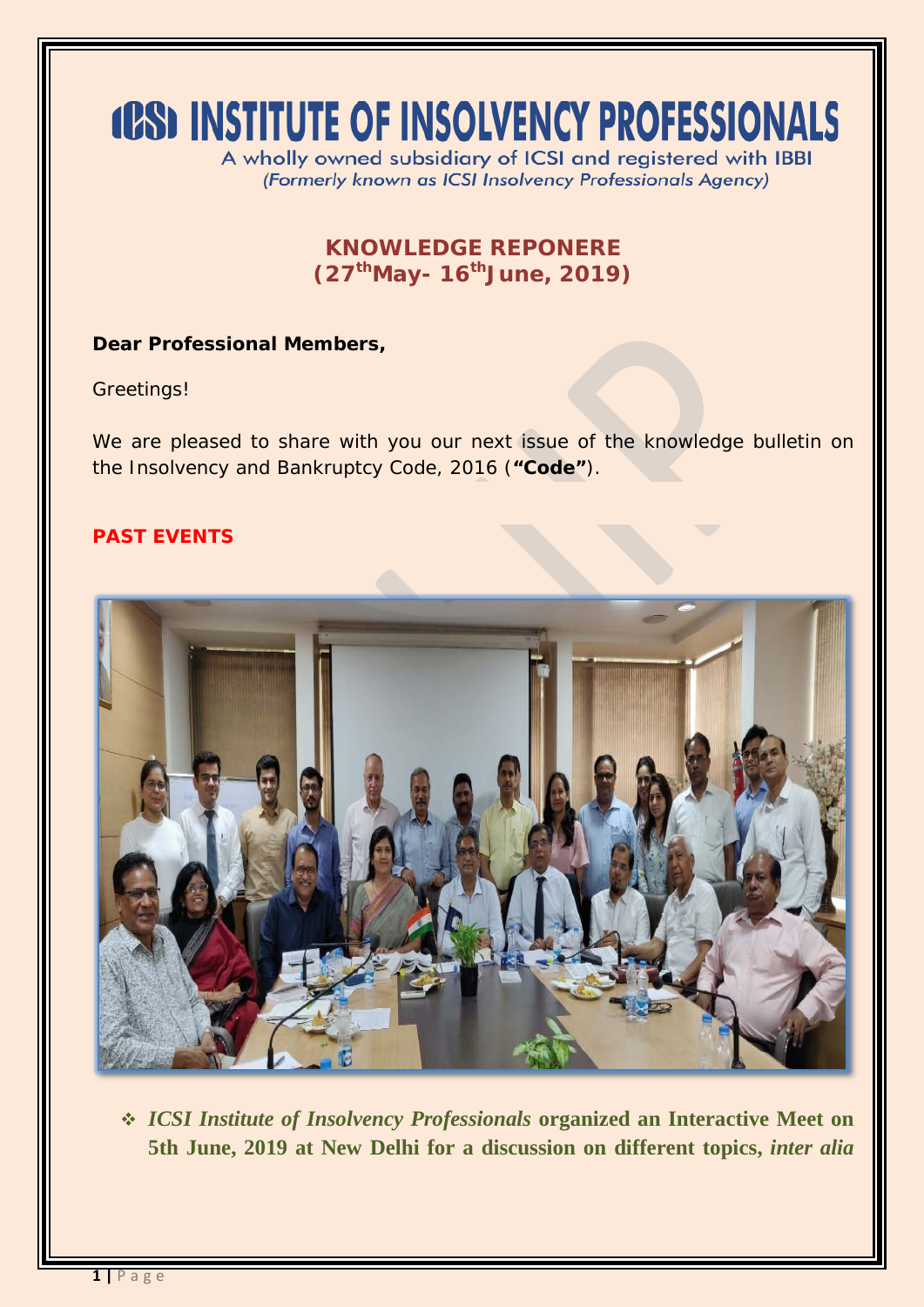# **(CS) INSTITUTE OF INSOLVENCY PROFESSIONALS**

A wholly owned subsidiary of ICSI and registered with IBBI (Formerly known as ICSI Insolvency Professionals Agency)

## **KNOWLEDGE REPONERE (27thMay- 16thJune, 2019)**

#### **Dear Professional Members,**

Greetings!

We are pleased to share with you our next issue of the knowledge bulletin on the Insolvency and Bankruptcy Code, 2016 (**"Code"**).

#### **PAST EVENTS**



 *ICSI Institute of Insolvency Professionals* **organized an Interactive Meet on 5th June, 2019 at New Delhi for a discussion on different topics,** *inter alia*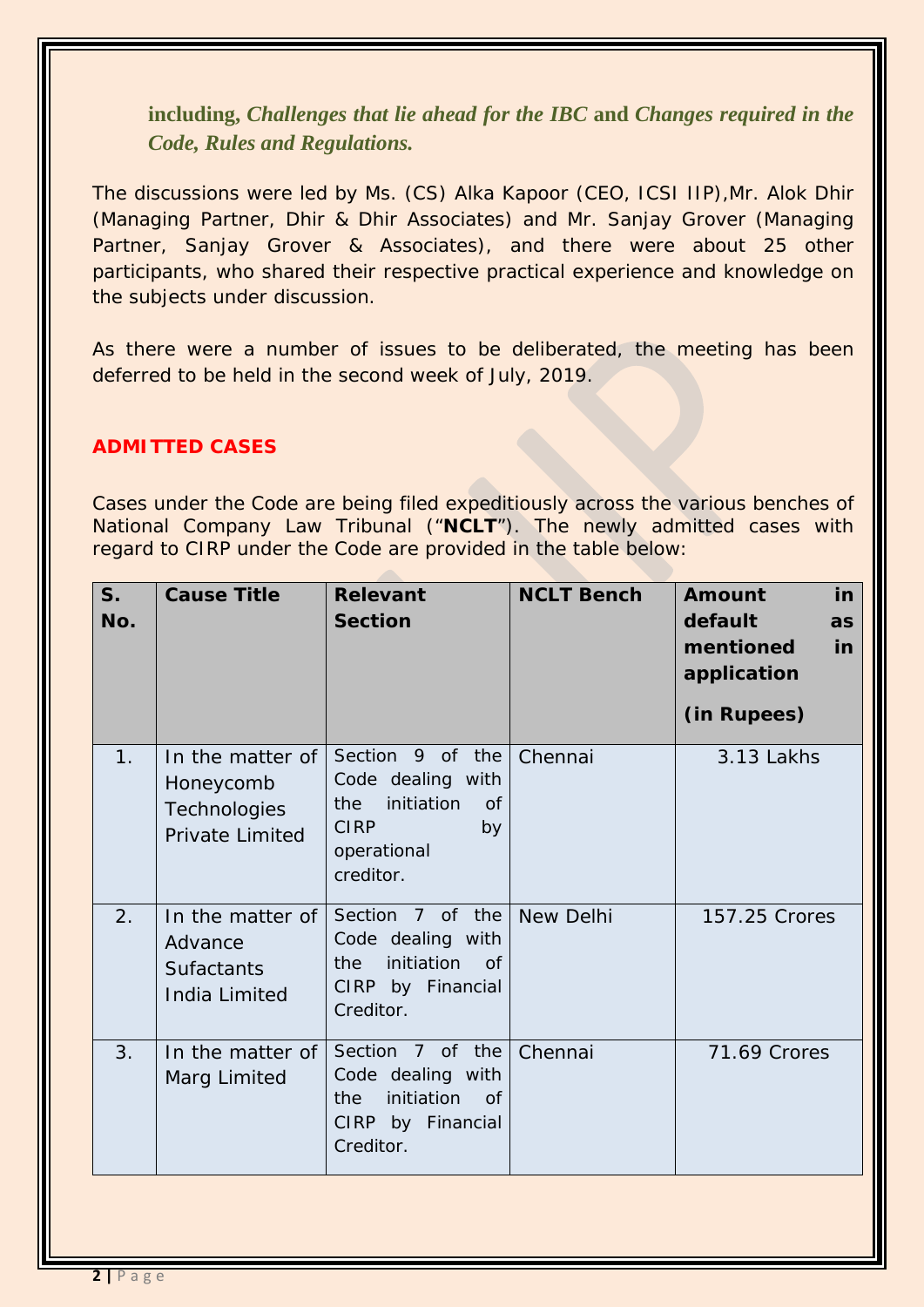**including,** *Challenges that lie ahead for the IBC* **and** *Changes required in the Code, Rules and Regulations.*

The discussions were led by Ms. (CS) Alka Kapoor (CEO, ICSI IIP),Mr. Alok Dhir (Managing Partner, Dhir & Dhir Associates) and Mr. Sanjay Grover (Managing Partner, Sanjay Grover & Associates), and there were about 25 other participants, who shared their respective practical experience and knowledge on the subjects under discussion.

As there were a number of issues to be deliberated, the meeting has been deferred to be held in the second week of July, 2019.

#### **ADMITTED CASES**

Cases under the Code are being filed expeditiously across the various benches of National Company Law Tribunal ("**NCLT**"). The newly admitted cases with regard to CIRP under the Code are provided in the table below:

| S <sub>1</sub><br>No. | <b>Cause Title</b>                                                      | <b>Relevant</b><br><b>Section</b>                                                                                        | <b>NCLT Bench</b> | <b>Amount</b><br>in<br>default<br>as<br>mentioned<br>in<br>application<br>(in Rupees) |
|-----------------------|-------------------------------------------------------------------------|--------------------------------------------------------------------------------------------------------------------------|-------------------|---------------------------------------------------------------------------------------|
| 1.                    | In the matter of<br>Honeycomb<br><b>Technologies</b><br>Private Limited | Section 9 of the<br>Code dealing with<br>initiation<br>the<br><b>of</b><br><b>CIRP</b><br>by<br>operational<br>creditor. | Chennai           | 3.13 Lakhs                                                                            |
| 2.                    | In the matter of<br>Advance<br><b>Sufactants</b><br>India Limited       | Section 7 of the<br>Code dealing with<br>initiation<br>the<br>of<br>CIRP by Financial<br>Creditor.                       | <b>New Delhi</b>  | 157.25 Crores                                                                         |
| 3.                    | In the matter of<br>Marg Limited                                        | Section 7 of the<br>Code dealing with<br>initiation<br>the<br>of<br>CIRP by Financial<br>Creditor.                       | Chennai           | 71.69 Crores                                                                          |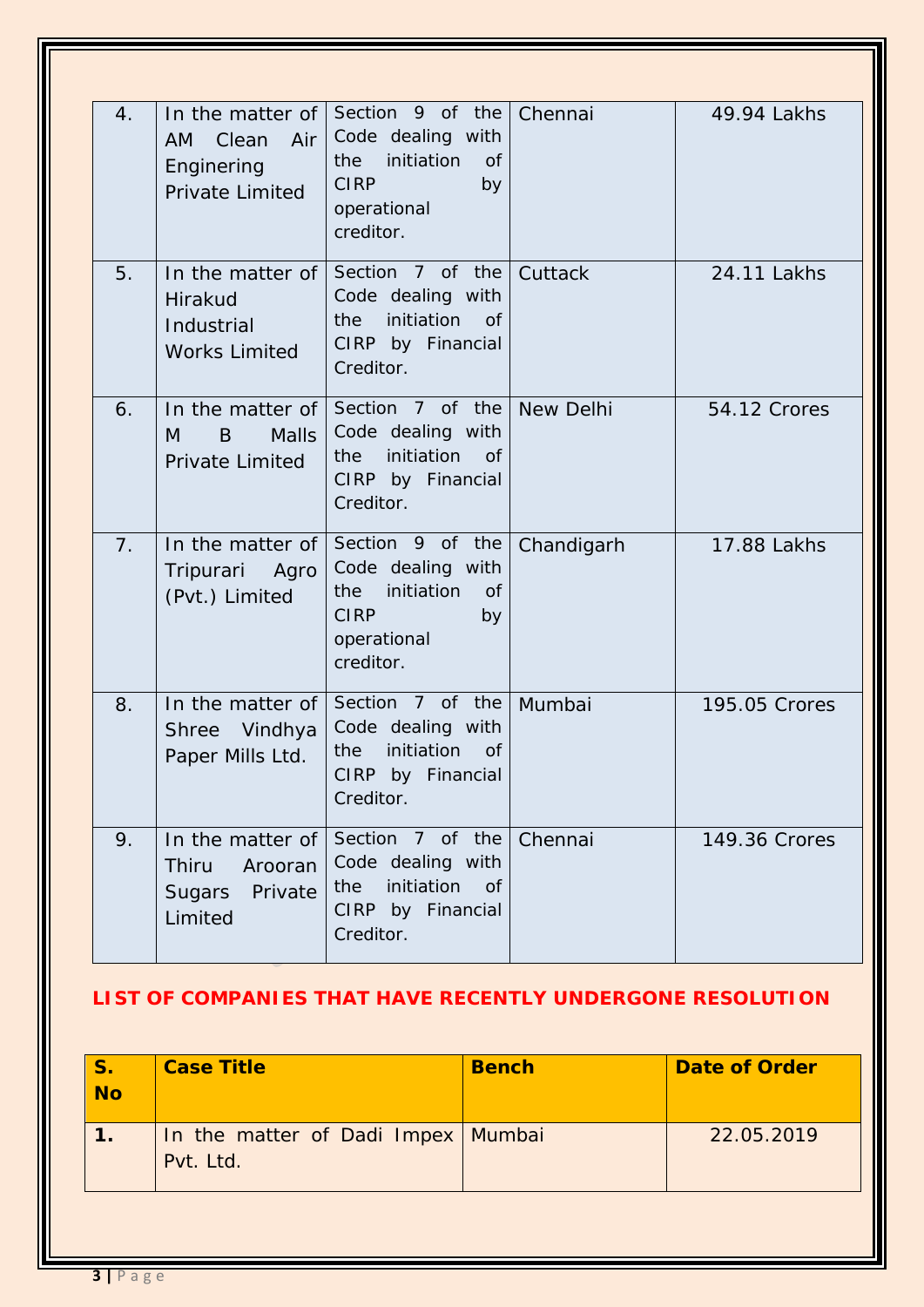| 4. | In the matter of<br>Clean<br>Air<br>AM.<br>Enginering<br>Private Limited | Section 9 of the<br>Code dealing with<br>initiation<br><b>of</b><br>the<br><b>CIRP</b><br>by<br>operational<br>creditor. | Chennai    | 49.94 Lakhs   |
|----|--------------------------------------------------------------------------|--------------------------------------------------------------------------------------------------------------------------|------------|---------------|
| 5. | In the matter of<br>Hirakud<br>Industrial<br><b>Works Limited</b>        | Section 7 of the<br>Code dealing with<br>initiation<br>the<br>0f<br>CIRP by Financial<br>Creditor.                       | Cuttack    | 24.11 Lakhs   |
| 6. | In the matter of<br>Malls<br>B<br>M<br><b>Private Limited</b>            | Section 7 of the<br>Code dealing with<br>initiation<br>the<br><b>of</b><br>CIRP by Financial<br>Creditor.                | New Delhi  | 54.12 Crores  |
| 7. | In the matter of<br>Tripurari Agro<br>(Pvt.) Limited                     | Section 9 of the<br>Code dealing with<br>initiation<br>the<br><b>of</b><br><b>CIRP</b><br>by<br>operational<br>creditor. | Chandigarh | 17.88 Lakhs   |
| 8. | In the matter of<br>Vindhya<br><b>Shree</b><br>Paper Mills Ltd.          | Section 7 of the<br>Code dealing with<br>initiation<br>the<br><b>of</b><br>CIRP by Financial<br>Creditor.                | Mumbai     | 195.05 Crores |
| 9. | In the matter of<br><b>Thiru</b><br>Arooran<br>Sugars Private<br>Limited | Section 7 of the<br>Code dealing with<br>initiation<br>the<br><b>of</b><br>CIRP by Financial<br>Creditor.                | Chennai    | 149.36 Crores |

# **LIST OF COMPANIES THAT HAVE RECENTLY UNDERGONE RESOLUTION**

| In the matter of Dadi Impex Mumbai |            | <b>Bench</b> | <b>Case Title</b> | <b>S.</b><br><b>No</b> |
|------------------------------------|------------|--------------|-------------------|------------------------|
| Pvt. Ltd.                          | 22.05.2019 |              |                   |                        |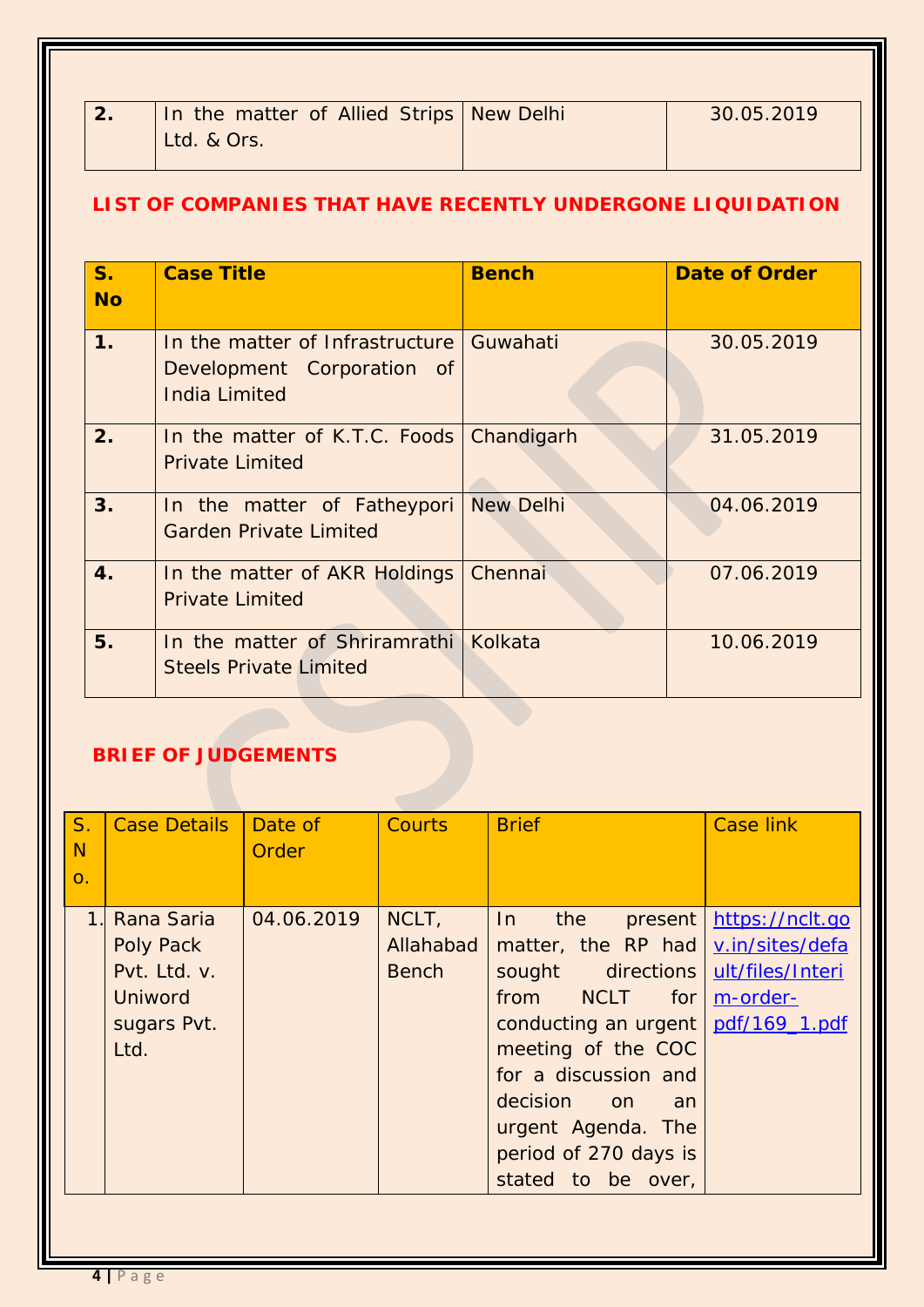| In the matter of Allied Strips New Delhi | 30.05.2019 |
|------------------------------------------|------------|
| Ltd. & Ors.                              |            |

### **LIST OF COMPANIES THAT HAVE RECENTLY UNDERGONE LIQUIDATION**

| $S_{-}$<br><b>No</b> | <b>Case Title</b>                                                                              | <b>Bench</b> | <b>Date of Order</b> |
|----------------------|------------------------------------------------------------------------------------------------|--------------|----------------------|
| 1.                   | In the matter of Infrastructure Guwahati<br>Development Corporation of<br><b>India Limited</b> |              | 30.05.2019           |
| 2.                   | In the matter of K.T.C. Foods   Chandigarh<br><b>Private Limited</b>                           |              | 31.05.2019           |
| 3.                   | In the matter of Fatheypori New Delhi<br><b>Garden Private Limited</b>                         |              | 04.06.2019           |
| 4.                   | In the matter of AKR Holdings<br><b>Private Limited</b>                                        | Chennai      | 07.06.2019           |
| 5.                   | In the matter of Shriramrathi Kolkata<br><b>Steels Private Limited</b>                         |              | 10.06.2019           |

# **BRIEF OF JUDGEMENTS**

| S <sub>1</sub><br>N<br>$\Omega$ . | <b>Case Details</b>                                                                     | Date of<br>Order | <b>Courts</b>                      | <b>Brief</b>                                                                                                                                                                                                                                                                           | <b>Case link</b>                    |
|-----------------------------------|-----------------------------------------------------------------------------------------|------------------|------------------------------------|----------------------------------------------------------------------------------------------------------------------------------------------------------------------------------------------------------------------------------------------------------------------------------------|-------------------------------------|
| 1 <sub>1</sub>                    | Rana Saria<br><b>Poly Pack</b><br>Pvt. Ltd. v.<br><b>Uniword</b><br>sugars Pvt.<br>Ltd. | 04.06.2019       | NCLT,<br>Allahabad<br><b>Bench</b> | In<br>the<br>matter, the RP had v.in/sites/defa<br>sought directions ult/files/Interi<br>from NCLT for<br>conducting an urgent   pdf/169_1.pdf<br>meeting of the COC<br>for a discussion and<br>decision on<br>an<br>urgent Agenda. The<br>period of 270 days is<br>stated to be over, | present https://nclt.go<br>m-order- |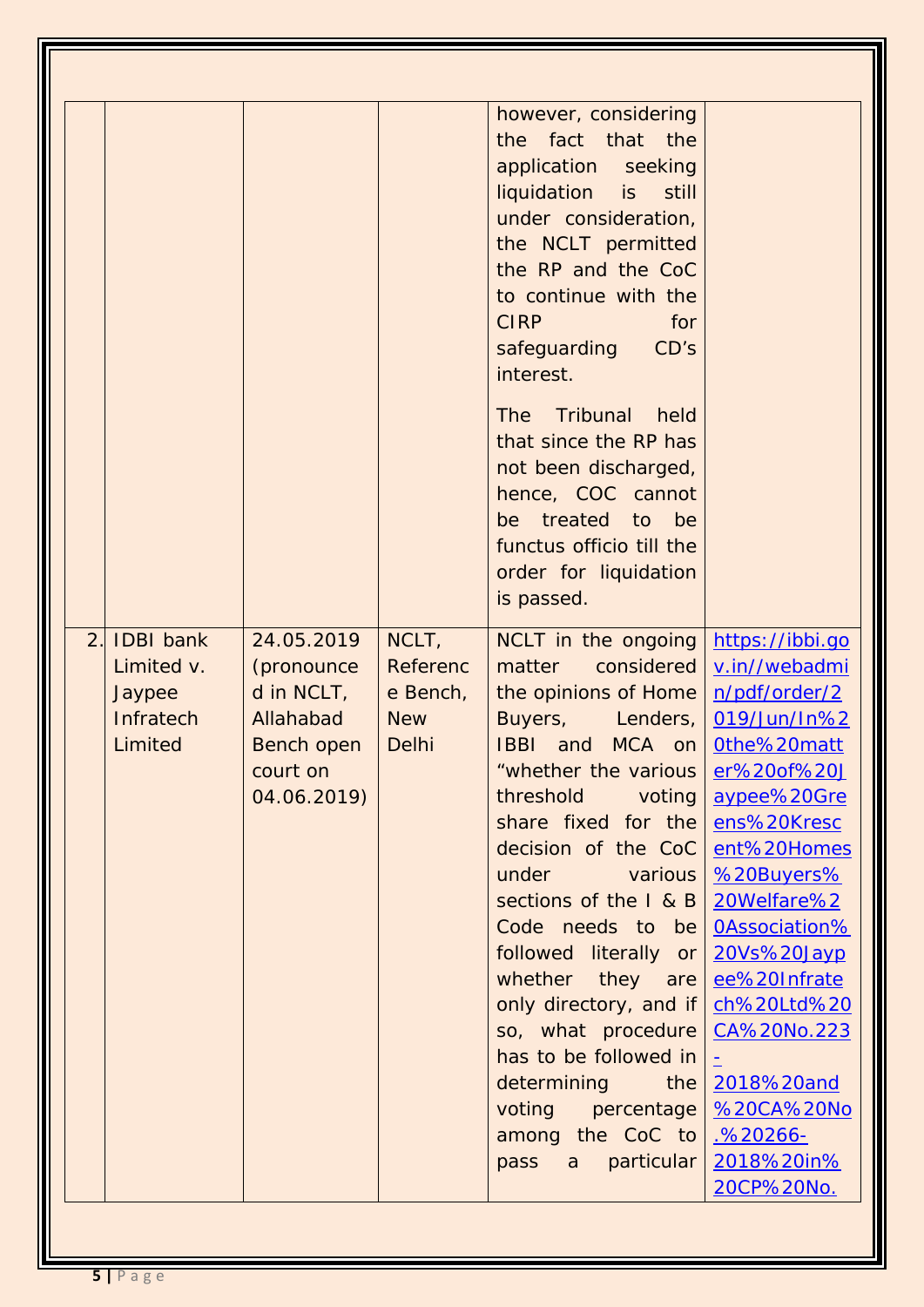|    |                  |                   |              | however, considering                       |                          |
|----|------------------|-------------------|--------------|--------------------------------------------|--------------------------|
|    |                  |                   |              | the fact that the                          |                          |
|    |                  |                   |              | application seeking                        |                          |
|    |                  |                   |              | liquidation is<br>still                    |                          |
|    |                  |                   |              | under consideration,                       |                          |
|    |                  |                   |              | the NCLT permitted                         |                          |
|    |                  |                   |              | the RP and the CoC                         |                          |
|    |                  |                   |              | to continue with the<br><b>CIRP</b><br>for |                          |
|    |                  |                   |              | CD's                                       |                          |
|    |                  |                   |              | safeguarding<br>interest.                  |                          |
|    |                  |                   |              |                                            |                          |
|    |                  |                   |              | Tribunal<br><b>The</b><br>held             |                          |
|    |                  |                   |              | that since the RP has                      |                          |
|    |                  |                   |              | not been discharged,                       |                          |
|    |                  |                   |              | hence, COC cannot                          |                          |
|    |                  |                   |              | treated<br>to<br>be<br>be                  |                          |
|    |                  |                   |              | functus officio till the                   |                          |
|    |                  |                   |              | order for liquidation                      |                          |
|    |                  |                   |              | is passed.                                 |                          |
| 2. | <b>IDBI</b> bank | 24.05.2019        | NCLT,        | NCLT in the ongoing                        | https://ibbi.go          |
|    | Limited v.       | (pronounce        | Referenc     | considered<br>matter                       | v.in//webadmi            |
|    | Jaypee           | $d$ in NCLT,      | e Bench,     | the opinions of Home                       | n/pdf/order/2            |
|    | Infratech        | Allahabad         | <b>New</b>   | Buyers, Lenders,                           | 019/Jun/In%2             |
|    | Limited          | <b>Bench open</b> | <b>Delhi</b> | <b>IBBI</b><br>MCA on<br>and               | Othe%20matt              |
|    |                  | court on          |              | "whether the various                       | er%20of%20J              |
|    |                  | 04.06.2019)       |              | threshold<br>voting                        | aypee%20Gre              |
|    |                  |                   |              | share fixed for the                        | ens%20Kresc              |
|    |                  |                   |              | decision of the CoC                        | ent%20Homes              |
|    |                  |                   |              | under<br><b>Exations</b>                   | %20Buyers%               |
|    |                  |                   |              | sections of the $ R \otimes B $            | 20Welfare%2              |
|    |                  |                   |              | Code needs to be                           | <b>OAssociation%</b>     |
|    |                  |                   |              | followed literally or                      | 20Vs%20Jayp              |
|    |                  |                   |              | whether they are                           | ee%20Infrate             |
|    |                  |                   |              | only directory, and if                     | ch%20Ltd%20              |
|    |                  |                   |              | so, what procedure                         | CA%20No.223              |
|    |                  |                   |              | has to be followed in                      |                          |
|    |                  |                   |              | <i>determining</i><br>the                  | 2018%20and               |
|    |                  |                   |              | voting percentage                          | <b>%20CA%20No</b>        |
|    |                  |                   |              | among the CoC to                           | <u>.%20266-</u>          |
|    |                  |                   |              | pass a particular                          | 2018%20in%<br>20CP%20No. |
|    |                  |                   |              |                                            |                          |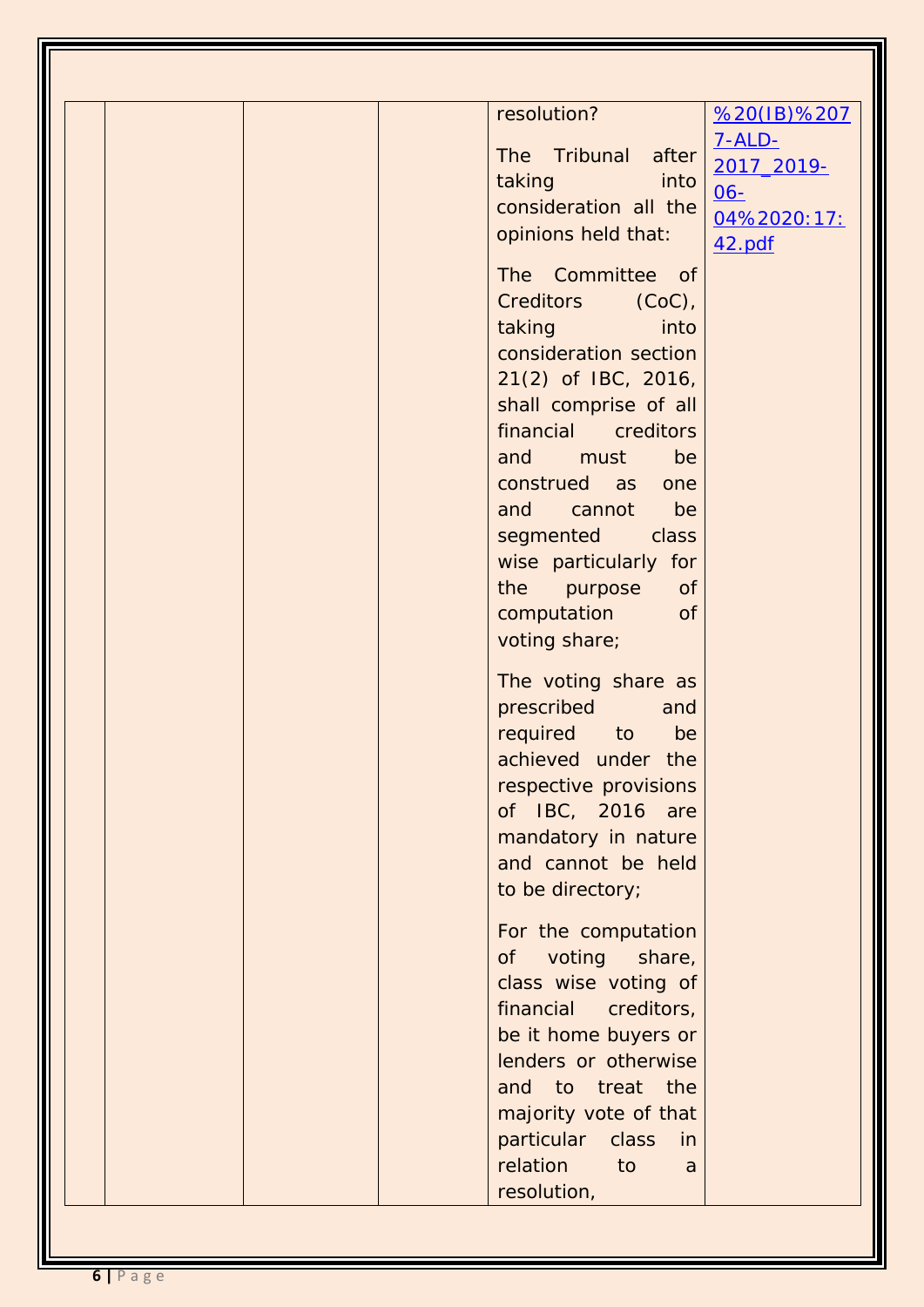| $7 - ALD -$<br>The Tribunal after<br>2017_2019-<br><b>taking</b><br>into<br>$06 -$<br>consideration all the<br>04%2020:17:<br>opinions held that:<br>42.pdf<br>The Committee of<br>Creditors (CoC),<br>taking taking<br>into<br>consideration section<br>21(2) of IBC, 2016,<br>shall comprise of all<br>financial creditors<br>and must<br>be<br>construed as one<br>and cannot<br>be<br>segmented class<br>wise particularly for<br>the<br>purpose<br>of<br>computation<br><b>of</b><br>voting share;<br>The voting share as<br>prescribed<br>and<br>required to<br>be<br>achieved under the<br>respective provisions<br>of IBC, 2016 are<br>mandatory in nature<br>and cannot be held<br>to be directory;<br>For the computation<br>voting share,<br>0f<br>class wise voting of<br>financial<br>creditors,<br>be it home buyers or<br>lenders or otherwise<br>and to treat the<br>majority vote of that<br>particular class<br>in |             |             |
|--------------------------------------------------------------------------------------------------------------------------------------------------------------------------------------------------------------------------------------------------------------------------------------------------------------------------------------------------------------------------------------------------------------------------------------------------------------------------------------------------------------------------------------------------------------------------------------------------------------------------------------------------------------------------------------------------------------------------------------------------------------------------------------------------------------------------------------------------------------------------------------------------------------------------------------|-------------|-------------|
|                                                                                                                                                                                                                                                                                                                                                                                                                                                                                                                                                                                                                                                                                                                                                                                                                                                                                                                                      | resolution? | %20(IB)%207 |
|                                                                                                                                                                                                                                                                                                                                                                                                                                                                                                                                                                                                                                                                                                                                                                                                                                                                                                                                      |             |             |
|                                                                                                                                                                                                                                                                                                                                                                                                                                                                                                                                                                                                                                                                                                                                                                                                                                                                                                                                      |             |             |
|                                                                                                                                                                                                                                                                                                                                                                                                                                                                                                                                                                                                                                                                                                                                                                                                                                                                                                                                      |             |             |
|                                                                                                                                                                                                                                                                                                                                                                                                                                                                                                                                                                                                                                                                                                                                                                                                                                                                                                                                      |             |             |
|                                                                                                                                                                                                                                                                                                                                                                                                                                                                                                                                                                                                                                                                                                                                                                                                                                                                                                                                      |             |             |
|                                                                                                                                                                                                                                                                                                                                                                                                                                                                                                                                                                                                                                                                                                                                                                                                                                                                                                                                      |             |             |
|                                                                                                                                                                                                                                                                                                                                                                                                                                                                                                                                                                                                                                                                                                                                                                                                                                                                                                                                      |             |             |
|                                                                                                                                                                                                                                                                                                                                                                                                                                                                                                                                                                                                                                                                                                                                                                                                                                                                                                                                      |             |             |
|                                                                                                                                                                                                                                                                                                                                                                                                                                                                                                                                                                                                                                                                                                                                                                                                                                                                                                                                      |             |             |
|                                                                                                                                                                                                                                                                                                                                                                                                                                                                                                                                                                                                                                                                                                                                                                                                                                                                                                                                      |             |             |
|                                                                                                                                                                                                                                                                                                                                                                                                                                                                                                                                                                                                                                                                                                                                                                                                                                                                                                                                      |             |             |
|                                                                                                                                                                                                                                                                                                                                                                                                                                                                                                                                                                                                                                                                                                                                                                                                                                                                                                                                      |             |             |
|                                                                                                                                                                                                                                                                                                                                                                                                                                                                                                                                                                                                                                                                                                                                                                                                                                                                                                                                      |             |             |
|                                                                                                                                                                                                                                                                                                                                                                                                                                                                                                                                                                                                                                                                                                                                                                                                                                                                                                                                      |             |             |
|                                                                                                                                                                                                                                                                                                                                                                                                                                                                                                                                                                                                                                                                                                                                                                                                                                                                                                                                      |             |             |
|                                                                                                                                                                                                                                                                                                                                                                                                                                                                                                                                                                                                                                                                                                                                                                                                                                                                                                                                      |             |             |
|                                                                                                                                                                                                                                                                                                                                                                                                                                                                                                                                                                                                                                                                                                                                                                                                                                                                                                                                      |             |             |
|                                                                                                                                                                                                                                                                                                                                                                                                                                                                                                                                                                                                                                                                                                                                                                                                                                                                                                                                      |             |             |
|                                                                                                                                                                                                                                                                                                                                                                                                                                                                                                                                                                                                                                                                                                                                                                                                                                                                                                                                      |             |             |
|                                                                                                                                                                                                                                                                                                                                                                                                                                                                                                                                                                                                                                                                                                                                                                                                                                                                                                                                      |             |             |
|                                                                                                                                                                                                                                                                                                                                                                                                                                                                                                                                                                                                                                                                                                                                                                                                                                                                                                                                      |             |             |
|                                                                                                                                                                                                                                                                                                                                                                                                                                                                                                                                                                                                                                                                                                                                                                                                                                                                                                                                      |             |             |
|                                                                                                                                                                                                                                                                                                                                                                                                                                                                                                                                                                                                                                                                                                                                                                                                                                                                                                                                      |             |             |
|                                                                                                                                                                                                                                                                                                                                                                                                                                                                                                                                                                                                                                                                                                                                                                                                                                                                                                                                      |             |             |
|                                                                                                                                                                                                                                                                                                                                                                                                                                                                                                                                                                                                                                                                                                                                                                                                                                                                                                                                      |             |             |
|                                                                                                                                                                                                                                                                                                                                                                                                                                                                                                                                                                                                                                                                                                                                                                                                                                                                                                                                      |             |             |
|                                                                                                                                                                                                                                                                                                                                                                                                                                                                                                                                                                                                                                                                                                                                                                                                                                                                                                                                      |             |             |
|                                                                                                                                                                                                                                                                                                                                                                                                                                                                                                                                                                                                                                                                                                                                                                                                                                                                                                                                      |             |             |
|                                                                                                                                                                                                                                                                                                                                                                                                                                                                                                                                                                                                                                                                                                                                                                                                                                                                                                                                      |             |             |
|                                                                                                                                                                                                                                                                                                                                                                                                                                                                                                                                                                                                                                                                                                                                                                                                                                                                                                                                      |             |             |
|                                                                                                                                                                                                                                                                                                                                                                                                                                                                                                                                                                                                                                                                                                                                                                                                                                                                                                                                      |             |             |
|                                                                                                                                                                                                                                                                                                                                                                                                                                                                                                                                                                                                                                                                                                                                                                                                                                                                                                                                      |             |             |
|                                                                                                                                                                                                                                                                                                                                                                                                                                                                                                                                                                                                                                                                                                                                                                                                                                                                                                                                      |             |             |
|                                                                                                                                                                                                                                                                                                                                                                                                                                                                                                                                                                                                                                                                                                                                                                                                                                                                                                                                      |             |             |
|                                                                                                                                                                                                                                                                                                                                                                                                                                                                                                                                                                                                                                                                                                                                                                                                                                                                                                                                      |             |             |
|                                                                                                                                                                                                                                                                                                                                                                                                                                                                                                                                                                                                                                                                                                                                                                                                                                                                                                                                      |             |             |
|                                                                                                                                                                                                                                                                                                                                                                                                                                                                                                                                                                                                                                                                                                                                                                                                                                                                                                                                      |             |             |
|                                                                                                                                                                                                                                                                                                                                                                                                                                                                                                                                                                                                                                                                                                                                                                                                                                                                                                                                      |             |             |
| relation<br>to<br>a                                                                                                                                                                                                                                                                                                                                                                                                                                                                                                                                                                                                                                                                                                                                                                                                                                                                                                                  |             |             |
| resolution,                                                                                                                                                                                                                                                                                                                                                                                                                                                                                                                                                                                                                                                                                                                                                                                                                                                                                                                          |             |             |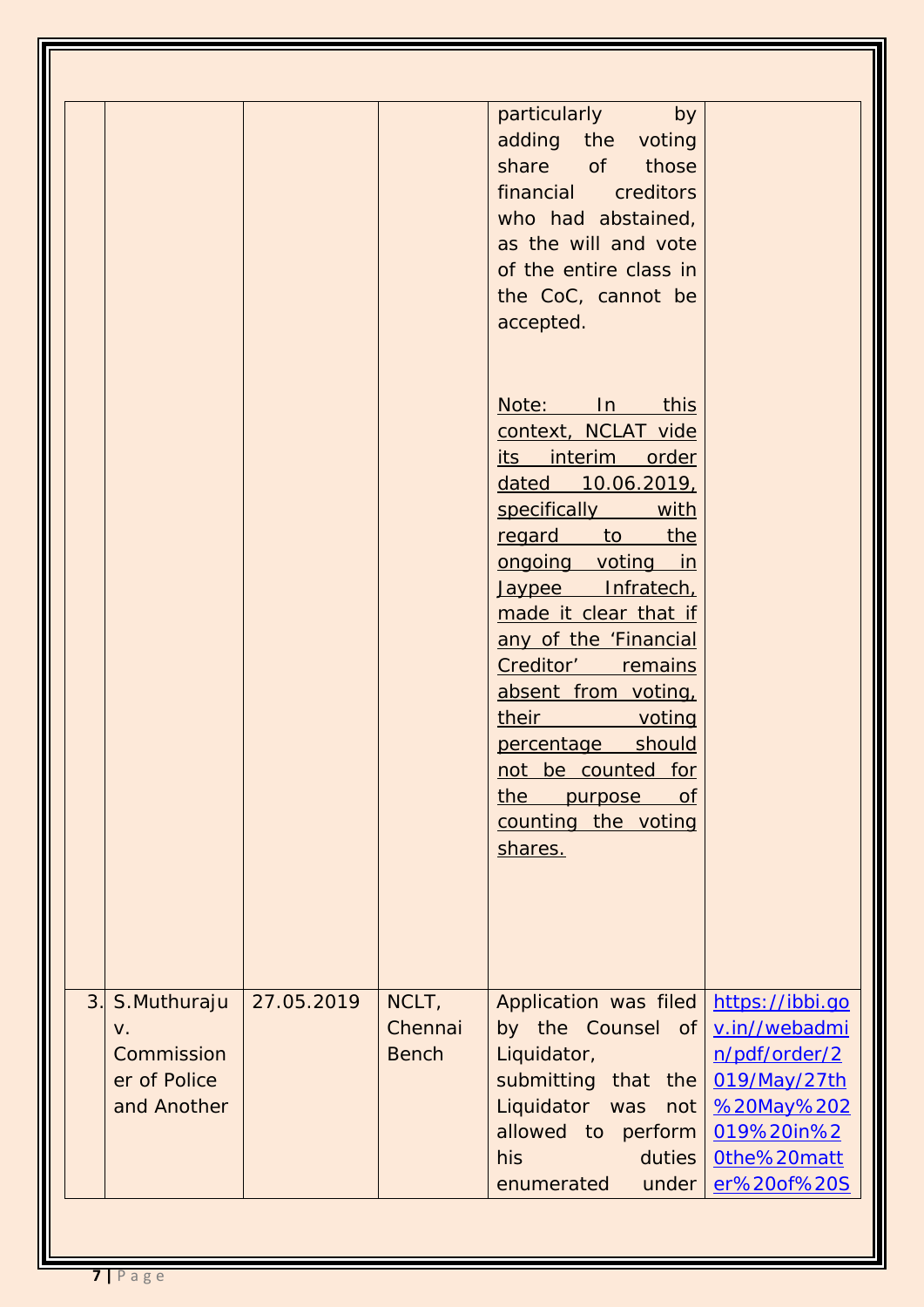| <b>Commission</b><br><b>Bench</b><br>Liquidator,<br>n/pdf/order/2<br>submitting that the<br>019/May/27th<br>er of Police | NCLT,<br>3.<br>27.05.2019<br>Application was filed<br>https://ibbi.go<br>S.Muthuraju<br>Chennai<br>by the Counsel of<br>v.in//webadmi<br>V. |
|--------------------------------------------------------------------------------------------------------------------------|---------------------------------------------------------------------------------------------------------------------------------------------|
| allowed to perform<br>019%20in%2                                                                                         | Liquidator was<br>and Another<br>%20May%202<br>not                                                                                          |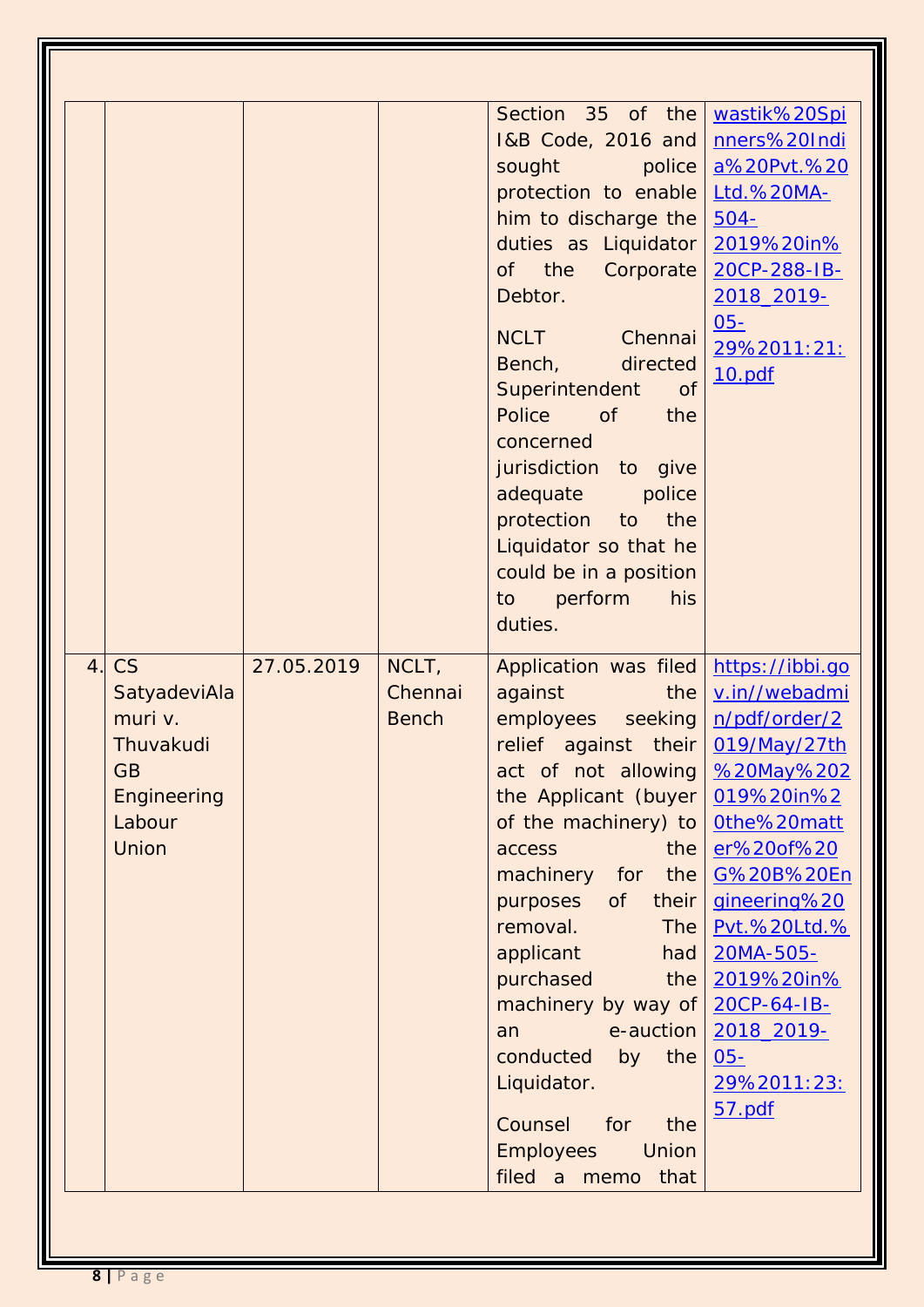|    |              |            |              | Section 35 of the                     | wastik%20Spi    |
|----|--------------|------------|--------------|---------------------------------------|-----------------|
|    |              |            |              | 1&B Code, 2016 and                    | nners%20Indi    |
|    |              |            |              |                                       |                 |
|    |              |            |              | sought<br>police                      | a%20Pvt.%20     |
|    |              |            |              | protection to enable   Ltd.%20MA-     |                 |
|    |              |            |              | him to discharge the                  | $504 -$         |
|    |              |            |              | duties as Liquidator                  | 2019%20in%      |
|    |              |            |              | of the Corporate                      | 20CP-288-IB-    |
|    |              |            |              | Debtor.                               | 2018 2019-      |
|    |              |            |              | <b>NCLT</b><br>Chennai                | $05 -$          |
|    |              |            |              | directed<br>Bench,                    | 29%2011:21:     |
|    |              |            |              | Superintendent<br><b>of</b>           | 10.pdf          |
|    |              |            |              | Police<br><b>of</b><br>the            |                 |
|    |              |            |              | concerned                             |                 |
|    |              |            |              | jurisdiction to give                  |                 |
|    |              |            |              | adequate<br>police                    |                 |
|    |              |            |              | protection to the                     |                 |
|    |              |            |              | Liquidator so that he                 |                 |
|    |              |            |              | could be in a position                |                 |
|    |              |            |              | perform<br>to to<br>his               |                 |
|    |              |            |              | duties.                               |                 |
|    |              |            |              |                                       |                 |
| 4. |              |            |              |                                       |                 |
|    | CS           | 27.05.2019 | NCLT,        | Application was filed                 | https://ibbi.go |
|    | SatyadeviAla |            | Chennai      | against<br>the                        | v.in//webadmi   |
|    | muri v.      |            | <b>Bench</b> | employees seeking                     | n/pdf/order/2   |
|    | Thuvakudi    |            |              | relief against their 019/May/27th     |                 |
|    | GB           |            |              | act of not allowing   %20May%202      |                 |
|    | Engineering  |            |              | the Applicant (buyer $0.19\%20$ in %2 |                 |
|    | Labour       |            |              | of the machinery) to                  | Othe%20matt     |
|    | <b>Union</b> |            |              | the<br>access                         | er%20of%20      |
|    |              |            |              | machinery for the                     | G%20B%20En      |
|    |              |            |              | purposes<br>of<br>their               | gineering%20    |
|    |              |            |              | removal.<br><b>The</b>                | Pvt.%20Ltd.%    |
|    |              |            |              | applicant<br>had                      | 20MA-505-       |
|    |              |            |              | purchased<br>the                      | 2019%20in%      |
|    |              |            |              | machinery by way of                   | 20CP-64-IB-     |
|    |              |            |              | e-auction<br>an                       | 2018_2019-      |
|    |              |            |              | conducted<br>the<br>by                | $05 -$          |
|    |              |            |              | Liquidator.                           | 29%2011:23:     |
|    |              |            |              | Counsel<br>for<br>the                 | 57.pdf          |
|    |              |            |              | <b>Employees</b><br>Union             |                 |
|    |              |            |              | filed a memo<br>that                  |                 |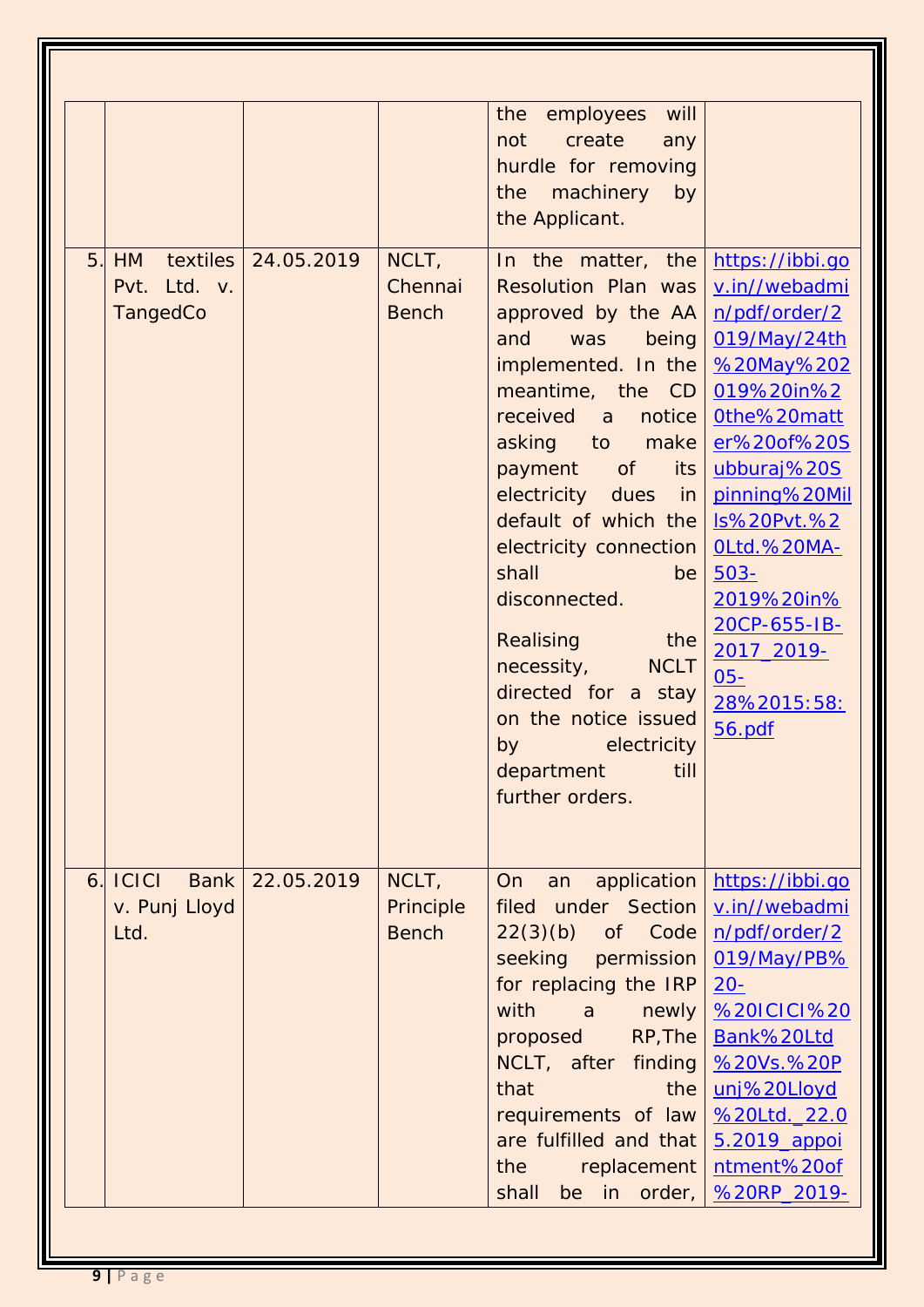|    |                                |                       |                                    | the<br>employees<br>will<br>create<br>not<br>any<br>hurdle for removing<br>machinery<br>by<br>the<br>the Applicant.                                                                                                                                                                                                                                                                                                                                                                               |                                                                                                                                                                                                                                                                                                        |
|----|--------------------------------|-----------------------|------------------------------------|---------------------------------------------------------------------------------------------------------------------------------------------------------------------------------------------------------------------------------------------------------------------------------------------------------------------------------------------------------------------------------------------------------------------------------------------------------------------------------------------------|--------------------------------------------------------------------------------------------------------------------------------------------------------------------------------------------------------------------------------------------------------------------------------------------------------|
| 5. | HM<br>Pvt. Ltd. v.<br>TangedCo | textiles   24.05.2019 | NCLT,<br>Chennai<br><b>Bench</b>   | In the matter, the<br><b>Resolution Plan was</b><br>approved by the AA<br>and<br>was<br>being<br>implemented. In the<br>meantime, the CD<br>received<br>notice<br>a<br>asking to make<br><b>of</b><br>payment<br>its<br>electricity dues<br>in in<br>default of which the<br>electricity connection<br>shall<br>be<br>disconnected.<br>Realising<br>the<br>necessity,<br><b>NCLT</b><br>directed for a stay<br>on the notice issued<br>electricity<br>by<br>department<br>till<br>further orders. | https://ibbi.go<br>v.in//webadmi<br>n/pdf/order/2<br>019/May/24th<br>%20May%202<br>019%20in%2<br>Othe%20matt<br>er%20of%20S<br>ubburaj%20S<br>pinning%20Mil<br><b>Is%20Pvt.%2</b><br>OLtd.%20MA-<br>$503 -$<br>2019%20in%<br>20CP-655-IB-<br>2017_2019-<br>$\underline{05}$ -<br>28%2015:58:<br>56.pdf |
| 6. | C C <br>v. Punj Lloyd<br>Ltd.  | Bank 22.05.2019       | NCLT,<br>Principle<br><b>Bench</b> | <b>On</b><br>application<br>an<br>filed under Section<br>$22(3)(b)$ of Code<br>seeking permission<br>for replacing the IRP<br>with<br>$\overline{a}$<br>newly<br>RP, The<br>proposed<br>NCLT, after finding<br>that<br>the<br>requirements of law<br>are fulfilled and that<br>the<br>replacement<br>be in order,<br>shall                                                                                                                                                                        | https://ibbi.go<br>v.in//webadmi<br>n/pdf/order/2<br>019/May/PB%<br>$20 -$<br><b>%20ICICI%20</b><br>Bank%20Ltd<br>%20Vs.%20P<br>unj%20Lloyd<br>%20Ltd. 22.0<br>5.2019_appoi<br>ntment%20of<br>%20RP 2019-                                                                                              |